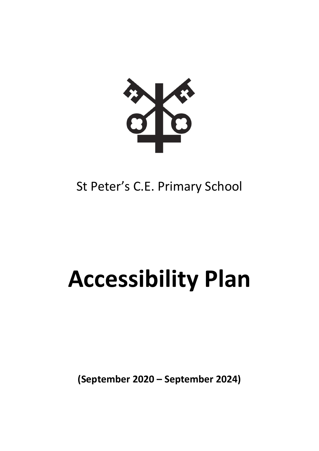

## St Peter's C.E. Primary School

# **Accessibility Plan**

**(September 2020 – September 2024)**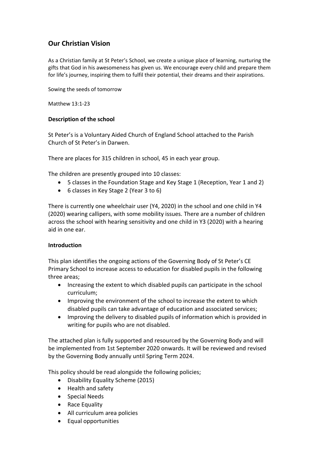### **Our Christian Vision**

As a Christian family at St Peter's School, we create a unique place of learning, nurturing the gifts that God in his awesomeness has given us. We encourage every child and prepare them for life's journey, inspiring them to fulfil their potential, their dreams and their aspirations.

Sowing the seeds of tomorrow

Matthew 13:1-23

#### **Description of the school**

St Peter's is a Voluntary Aided Church of England School attached to the Parish Church of St Peter's in Darwen.

There are places for 315 children in school, 45 in each year group.

The children are presently grouped into 10 classes:

- 5 classes in the Foundation Stage and Key Stage 1 (Reception, Year 1 and 2)
- 6 classes in Key Stage 2 (Year 3 to 6)

There is currently one wheelchair user (Y4, 2020) in the school and one child in Y4 (2020) wearing callipers, with some mobility issues. There are a number of children across the school with hearing sensitivity and one child in Y3 (2020) with a hearing aid in one ear.

#### **Introduction**

This plan identifies the ongoing actions of the Governing Body of St Peter's CE Primary School to increase access to education for disabled pupils in the following three areas;

- Increasing the extent to which disabled pupils can participate in the school curriculum;
- Improving the environment of the school to increase the extent to which disabled pupils can take advantage of education and associated services;
- Improving the delivery to disabled pupils of information which is provided in writing for pupils who are not disabled.

The attached plan is fully supported and resourced by the Governing Body and will be implemented from 1st September 2020 onwards. It will be reviewed and revised by the Governing Body annually until Spring Term 2024.

This policy should be read alongside the following policies;

- Disability Equality Scheme (2015)
- Health and safety
- Special Needs
- Race Equality
- All curriculum area policies
- Equal opportunities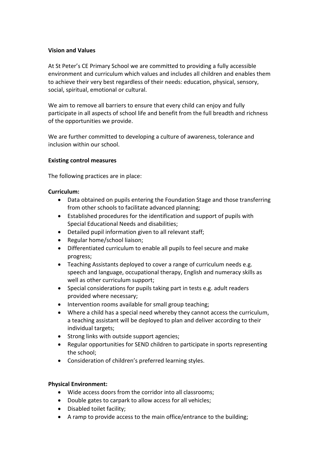#### **Vision and Values**

At St Peter's CE Primary School we are committed to providing a fully accessible environment and curriculum which values and includes all children and enables them to achieve their very best regardless of their needs: education, physical, sensory, social, spiritual, emotional or cultural.

We aim to remove all barriers to ensure that every child can enjoy and fully participate in all aspects of school life and benefit from the full breadth and richness of the opportunities we provide.

We are further committed to developing a culture of awareness, tolerance and inclusion within our school.

#### **Existing control measures**

The following practices are in place:

#### **Curriculum:**

- Data obtained on pupils entering the Foundation Stage and those transferring from other schools to facilitate advanced planning;
- Established procedures for the identification and support of pupils with Special Educational Needs and disabilities;
- Detailed pupil information given to all relevant staff;
- Regular home/school liaison;
- Differentiated curriculum to enable all pupils to feel secure and make progress;
- Teaching Assistants deployed to cover a range of curriculum needs e.g. speech and language, occupational therapy, English and numeracy skills as well as other curriculum support;
- Special considerations for pupils taking part in tests e.g. adult readers provided where necessary;
- Intervention rooms available for small group teaching;
- Where a child has a special need whereby they cannot access the curriculum, a teaching assistant will be deployed to plan and deliver according to their individual targets;
- Strong links with outside support agencies;
- Regular opportunities for SEND children to participate in sports representing the school;
- Consideration of children's preferred learning styles.

#### **Physical Environment:**

- Wide access doors from the corridor into all classrooms;
- Double gates to carpark to allow access for all vehicles;
- Disabled toilet facility;
- A ramp to provide access to the main office/entrance to the building;